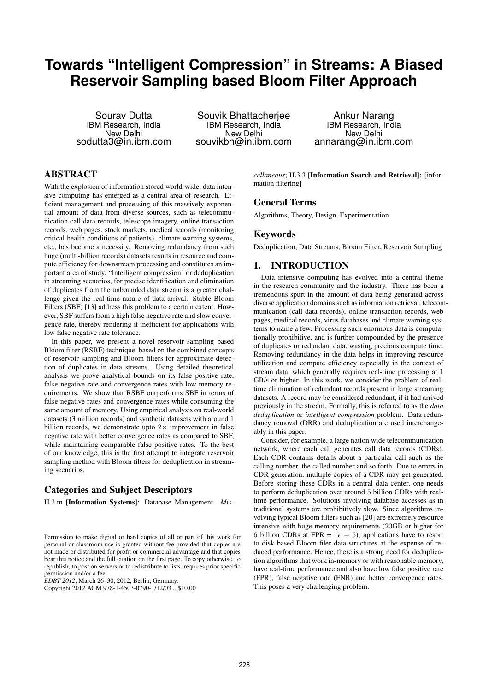# **Towards "Intelligent Compression" in Streams: A Biased Reservoir Sampling based Bloom Filter Approach**

Sourav Dutta IBM Research, India New Delhi sodutta3@in.ibm.com

Souvik Bhattacherjee IBM Research, India New Delhi souvikbh@in.ibm.com

Ankur Narang IBM Research, India New Delhi annarang@in.ibm.com

# ABSTRACT

With the explosion of information stored world-wide, data intensive computing has emerged as a central area of research. Efficient management and processing of this massively exponential amount of data from diverse sources, such as telecommunication call data records, telescope imagery, online transaction records, web pages, stock markets, medical records (monitoring critical health conditions of patients), climate warning systems, etc., has become a necessity. Removing redundancy from such huge (multi-billion records) datasets results in resource and compute efficiency for downstream processing and constitutes an important area of study. "Intelligent compression" or deduplication in streaming scenarios, for precise identification and elimination of duplicates from the unbounded data stream is a greater challenge given the real-time nature of data arrival. Stable Bloom Filters (SBF) [13] address this problem to a certain extent. However, SBF suffers from a high false negative rate and slow convergence rate, thereby rendering it inefficient for applications with low false negative rate tolerance.

In this paper, we present a novel reservoir sampling based Bloom filter (RSBF) technique, based on the combined concepts of reservoir sampling and Bloom filters for approximate detection of duplicates in data streams. Using detailed theoretical analysis we prove analytical bounds on its false positive rate, false negative rate and convergence rates with low memory requirements. We show that RSBF outperforms SBF in terms of false negative rates and convergence rates while consuming the same amount of memory. Using empirical analysis on real-world datasets (3 million records) and synthetic datasets with around 1 billion records, we demonstrate upto  $2 \times$  improvement in false negative rate with better convergence rates as compared to SBF, while maintaining comparable false positive rates. To the best of our knowledge, this is the first attempt to integrate reservoir sampling method with Bloom filters for deduplication in streaming scenarios.

# Categories and Subject Descriptors

H.2.m [Information Systems]: Database Management—*Mis-*

*EDBT 2012*, March 26–30, 2012, Berlin, Germany.

*cellaneous*; H.3.3 [Information Search and Retrieval]: [information filtering]

#### General Terms

Algorithms, Theory, Design, Experimentation

## Keywords

Deduplication, Data Streams, Bloom Filter, Reservoir Sampling

# 1. INTRODUCTION

Data intensive computing has evolved into a central theme in the research community and the industry. There has been a tremendous spurt in the amount of data being generated across diverse application domains such as information retrieval, telecommunication (call data records), online transaction records, web pages, medical records, virus databases and climate warning systems to name a few. Processing such enormous data is computationally prohibitive, and is further compounded by the presence of duplicates or redundant data, wasting precious compute time. Removing redundancy in the data helps in improving resource utilization and compute efficiency especially in the context of stream data, which generally requires real-time processing at 1 GB/s or higher. In this work, we consider the problem of realtime elimination of redundant records present in large streaming datasets. A record may be considered redundant, if it had arrived previously in the stream. Formally, this is referred to as the *data deduplication* or *intelligent compression* problem. Data redundancy removal (DRR) and deduplication are used interchangeably in this paper.

Consider, for example, a large nation wide telecommunication network, where each call generates call data records (CDRs). Each CDR contains details about a particular call such as the calling number, the called number and so forth. Due to errors in CDR generation, multiple copies of a CDR may get generated. Before storing these CDRs in a central data center, one needs to perform deduplication over around 5 billion CDRs with realtime performance. Solutions involving database accesses as in traditional systems are prohibitively slow. Since algorithms involving typical Bloom filters such as [20] are extremely resource intensive with huge memory requirements (20GB or higher for 6 billion CDRs at FPR =  $1e - 5$ ), applications have to resort to disk based Bloom filer data structures at the expense of reduced performance. Hence, there is a strong need for deduplication algorithms that work in-memory or with reasonable memory, have real-time performance and also have low false positive rate (FPR), false negative rate (FNR) and better convergence rates. This poses a very challenging problem.

Permission to make digital or hard copies of all or part of this work for personal or classroom use is granted without fee provided that copies are not made or distributed for profit or commercial advantage and that copies bear this notice and the full citation on the first page. To copy otherwise, to republish, to post on servers or to redistribute to lists, requires prior specific permission and/or a fee.

Copyright 2012 ACM 978-1-4503-0790-1/12/03 ...\$10.00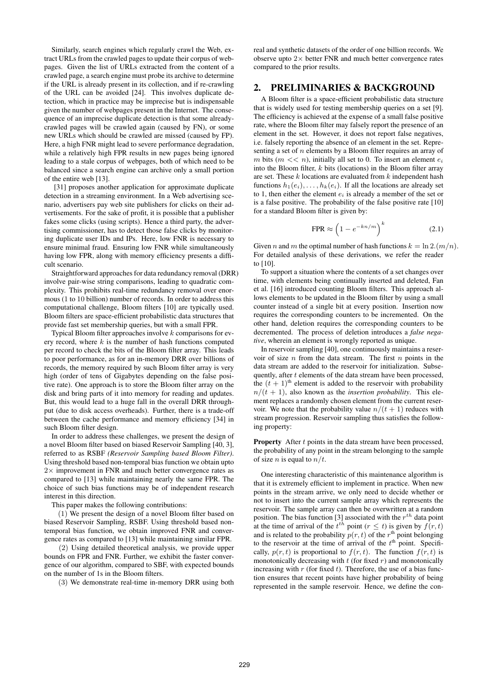Similarly, search engines which regularly crawl the Web, extract URLs from the crawled pages to update their corpus of webpages. Given the list of URLs extracted from the content of a crawled page, a search engine must probe its archive to determine if the URL is already present in its collection, and if re-crawling of the URL can be avoided [24]. This involves duplicate detection, which in practice may be imprecise but is indispensable given the number of webpages present in the Internet. The consequence of an imprecise duplicate detection is that some alreadycrawled pages will be crawled again (caused by FN), or some new URLs which should be crawled are missed (caused by FP). Here, a high FNR might lead to severe performance degradation, while a relatively high FPR results in new pages being ignored leading to a stale corpus of webpages, both of which need to be balanced since a search engine can archive only a small portion of the entire web [13].

[31] proposes another application for approximate duplicate detection in a streaming environment. In a Web advertising scenario, advertisers pay web site publishers for clicks on their advertisements. For the sake of profit, it is possible that a publisher fakes some clicks (using scripts). Hence a third party, the advertising commissioner, has to detect those false clicks by monitoring duplicate user IDs and IPs. Here, low FNR is necessary to ensure minimal fraud. Ensuring low FNR while simultaneously having low FPR, along with memory efficiency presents a difficult scenario.

Straightforward approaches for data redundancy removal (DRR) involve pair-wise string comparisons, leading to quadratic complexity. This prohibits real-time redundancy removal over enormous (1 to 10 billion) number of records. In order to address this computational challenge, Bloom filters [10] are typically used. Bloom filters are space-efficient probabilistic data structures that provide fast set membership queries, but with a small FPR.

Typical Bloom filter approaches involve  $k$  comparisons for every record, where  $k$  is the number of hash functions computed per record to check the bits of the Bloom filter array. This leads to poor performance, as for an in-memory DRR over billions of records, the memory required by such Bloom filter array is very high (order of tens of Gigabytes depending on the false positive rate). One approach is to store the Bloom filter array on the disk and bring parts of it into memory for reading and updates. But, this would lead to a huge fall in the overall DRR throughput (due to disk access overheads). Further, there is a trade-off between the cache performance and memory efficiency [34] in such Bloom filter design.

In order to address these challenges, we present the design of a novel Bloom filter based on biased Reservoir Sampling [40, 3], referred to as RSBF *(Reservoir Sampling based Bloom Filter)*. Using threshold based non-temporal bias function we obtain upto  $2\times$  improvement in FNR and much better convergence rates as compared to [13] while maintaining nearly the same FPR. The choice of such bias functions may be of independent research interest in this direction.

This paper makes the following contributions:

(1) We present the design of a novel Bloom filter based on biased Reservoir Sampling, RSBF. Using threshold based nontemporal bias function, we obtain improved FNR and convergence rates as compared to [13] while maintaining similar FPR.

(2) Using detailed theoretical analysis, we provide upper bounds on FPR and FNR. Further, we exhibit the faster convergence of our algorithm, compared to SBF, with expected bounds on the number of 1s in the Bloom filters.

(3) We demonstrate real-time in-memory DRR using both

real and synthetic datasets of the order of one billion records. We observe upto  $2 \times$  better FNR and much better convergence rates compared to the prior results.

#### 2. PRELIMINARIES & BACKGROUND

A Bloom filter is a space-efficient probabilistic data structure that is widely used for testing membership queries on a set [9]. The efficiency is achieved at the expense of a small false positive rate, where the Bloom filter may falsely report the presence of an element in the set. However, it does not report false negatives, i.e. falsely reporting the absence of an element in the set. Representing a set of  $n$  elements by a Bloom filter requires an array of m bits  $(m \ll n)$ , initially all set to 0. To insert an element  $e_i$ into the Bloom filter,  $k$  bits (locations) in the Bloom filter array are set. These  $k$  locations are evaluated from  $k$  independent hash functions  $h_1(e_i), \ldots, h_k(e_i)$ . If all the locations are already set to 1, then either the element  $e_i$  is already a member of the set or is a false positive. The probability of the false positive rate [10] for a standard Bloom filter is given by:

$$
\text{FPR} \approx \left(1 - e^{-kn/m}\right)^k \tag{2.1}
$$

Given n and m the optimal number of hash functions  $k = \ln 2.(m/n)$ . For detailed analysis of these derivations, we refer the reader to [10].

To support a situation where the contents of a set changes over time, with elements being continually inserted and deleted, Fan et al. [16] introduced counting Bloom filters. This approach allows elements to be updated in the Bloom filter by using a small counter instead of a single bit at every position. Insertion now requires the corresponding counters to be incremented. On the other hand, deletion requires the corresponding counters to be decremented. The process of deletion introduces a *false negative*, wherein an element is wrongly reported as unique.

In reservoir sampling [40], one continuously maintains a reservoir of size  $n$  from the data stream. The first  $n$  points in the data stream are added to the reservoir for initialization. Subsequently, after t elements of the data stream have been processed, the  $(t + 1)$ <sup>th</sup> element is added to the reservoir with probability  $n/(t + 1)$ , also known as the *insertion probability*. This element replaces a randomly chosen element from the current reservoir. We note that the probability value  $n/(t + 1)$  reduces with stream progression. Reservoir sampling thus satisfies the following property:

**Property** After  $t$  points in the data stream have been processed, the probability of any point in the stream belonging to the sample of size *n* is equal to  $n/t$ .

One interesting characteristic of this maintenance algorithm is that it is extremely efficient to implement in practice. When new points in the stream arrive, we only need to decide whether or not to insert into the current sample array which represents the reservoir. The sample array can then be overwritten at a random position. The bias function [3] associated with the  $r^{th}$  data point at the time of arrival of the  $t^{th}$  point ( $r \leq t$ ) is given by  $\overline{f}(r, t)$ and is related to the probability  $p(r, t)$  of the  $r<sup>th</sup>$  point belonging to the reservoir at the time of arrival of the  $t<sup>th</sup>$  point. Specifically,  $p(r, t)$  is proportional to  $f(r, t)$ . The function  $f(r, t)$  is monotonically decreasing with  $t$  (for fixed  $r$ ) and monotonically increasing with  $r$  (for fixed  $t$ ). Therefore, the use of a bias function ensures that recent points have higher probability of being represented in the sample reservoir. Hence, we define the con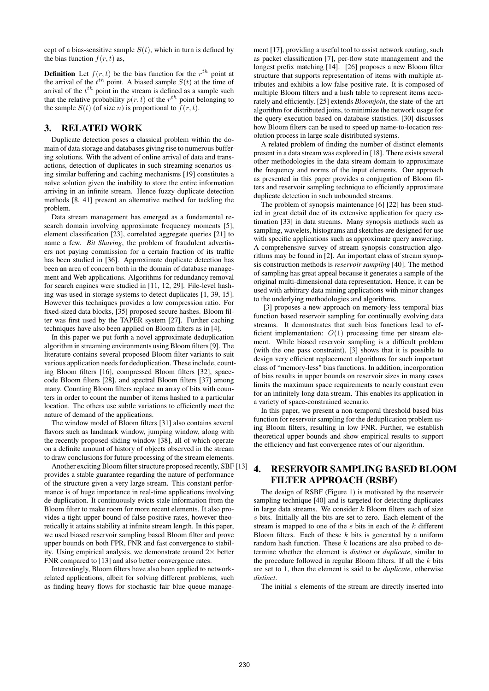cept of a bias-sensitive sample  $S(t)$ , which in turn is defined by the bias function  $f(r, t)$  as,

**Definition** Let  $f(r, t)$  be the bias function for the  $r^{th}$  point at the arrival of the  $t^{th}$  point. A biased sample  $S(t)$  at the time of arrival of the  $t^{th}$  point in the stream is defined as a sample such that the relative probability  $p(r, t)$  of the  $r^{th}$  point belonging to the sample  $S(t)$  (of size *n*) is proportional to  $f(r, t)$ .

# 3. RELATED WORK

Duplicate detection poses a classical problem within the domain of data storage and databases giving rise to numerous buffering solutions. With the advent of online arrival of data and transactions, detection of duplicates in such streaming scenarios using similar buffering and caching mechanisms [19] constitutes a naïve solution given the inability to store the entire information arriving in an infinite stream. Hence fuzzy duplicate detection methods [8, 41] present an alternative method for tackling the problem.

Data stream management has emerged as a fundamental research domain involving approximate frequency moments [5], element classification [23], correlated aggregate queries [21] to name a few. *Bit Shaving*, the problem of fraudulent advertisers not paying commission for a certain fraction of its traffic has been studied in [36]. Approximate duplicate detection has been an area of concern both in the domain of database management and Web applications. Algorithms for redundancy removal for search engines were studied in [11, 12, 29]. File-level hashing was used in storage systems to detect duplicates [1, 39, 15]. However this techniques provides a low compression ratio. For fixed-sized data blocks, [35] proposed secure hashes. Bloom filter was first used by the TAPER system [27]. Further caching techniques have also been applied on Bloom filters as in [4].

In this paper we put forth a novel approximate deduplication algorithm in streaming environments using Bloom filters [9]. The literature contains several proposed Bloom filter variants to suit various application needs for deduplication. These include, counting Bloom filters [16], compressed Bloom filters [32], spacecode Bloom filters [28], and spectral Bloom filters [37] among many. Counting Bloom filters replace an array of bits with counters in order to count the number of items hashed to a particular location. The others use subtle variations to efficiently meet the nature of demand of the applications.

The window model of Bloom filters [31] also contains several flavors such as landmark window, jumping window, along with the recently proposed sliding window [38], all of which operate on a definite amount of history of objects observed in the stream to draw conclusions for future processing of the stream elements.

Another exciting Bloom filter structure proposed recently, SBF [13] provides a stable guarantee regarding the nature of performance of the structure given a very large stream. This constant performance is of huge importance in real-time applications involving de-duplication. It continuously evicts stale information from the Bloom filter to make room for more recent elements. It also provides a tight upper bound of false positive rates, however theoretically it attains stability at infinite stream length. In this paper, we used biased reservoir sampling based Bloom filter and prove upper bounds on both FPR, FNR and fast convergence to stability. Using empirical analysis, we demonstrate around  $2\times$  better FNR compared to [13] and also better convergence rates.

Interestingly, Bloom filters have also been applied to networkrelated applications, albeit for solving different problems, such as finding heavy flows for stochastic fair blue queue management [17], providing a useful tool to assist network routing, such as packet classification [7], per-flow state management and the longest prefix matching [14]. [26] proposes a new Bloom filter structure that supports representation of items with multiple attributes and exhibits a low false positive rate. It is composed of multiple Bloom filters and a hash table to represent items accurately and efficiently. [25] extends *Bloomjoin*, the state-of-the-art algorithm for distributed joins, to minimize the network usage for the query execution based on database statistics. [30] discusses how Bloom filters can be used to speed up name-to-location resolution process in large scale distributed systems.

A related problem of finding the number of distinct elements present in a data stream was explored in [18]. There exists several other methodologies in the data stream domain to approximate the frequency and norms of the input elements. Our approach as presented in this paper provides a conjugation of Bloom filters and reservoir sampling technique to efficiently approximate duplicate detection in such unbounded streams.

The problem of synopsis maintenance [6] [22] has been studied in great detail due of its extensive application for query estimation [33] in data streams. Many synopsis methods such as sampling, wavelets, histograms and sketches are designed for use with specific applications such as approximate query answering. A comprehensive survey of stream synopsis construction algorithms may be found in [2]. An important class of stream synopsis construction methods is *reservoir sampling* [40]. The method of sampling has great appeal because it generates a sample of the original multi-dimensional data representation. Hence, it can be used with arbitrary data mining applications with minor changes to the underlying methodologies and algorithms.

[3] proposes a new approach on memory-less temporal bias function based reservoir sampling for continually evolving data streams. It demonstrates that such bias functions lead to efficient implementation:  $O(1)$  processing time per stream element. While biased reservoir sampling is a difficult problem (with the one pass constraint), [3] shows that it is possible to design very efficient replacement algorithms for such important class of "memory-less" bias functions. In addition, incorporation of bias results in upper bounds on reservoir sizes in many cases limits the maximum space requirements to nearly constant even for an infinitely long data stream. This enables its application in a variety of space-constrained scenario.

In this paper, we present a non-temporal threshold based bias function for reservoir sampling for the deduplication problem using Bloom filters, resulting in low FNR. Further, we establish theoretical upper bounds and show empirical results to support the efficiency and fast convergence rates of our algorithm.

# 4. RESERVOIR SAMPLING BASED BLOOM FILTER APPROACH (RSBF)

The design of RSBF (Figure 1) is motivated by the reservoir sampling technique [40] and is targeted for detecting duplicates in large data streams. We consider  $k$  Bloom filters each of size s bits. Initially all the bits are set to zero. Each element of the stream is mapped to one of the  $s$  bits in each of the  $k$  different Bloom filters. Each of these  $k$  bits is generated by a uniform random hash function. These  $k$  locations are also probed to determine whether the element is *distinct* or *duplicate*, similar to the procedure followed in regular Bloom filters. If all the  $k$  bits are set to 1, then the element is said to be *duplicate*, otherwise *distinct*.

The initial s elements of the stream are directly inserted into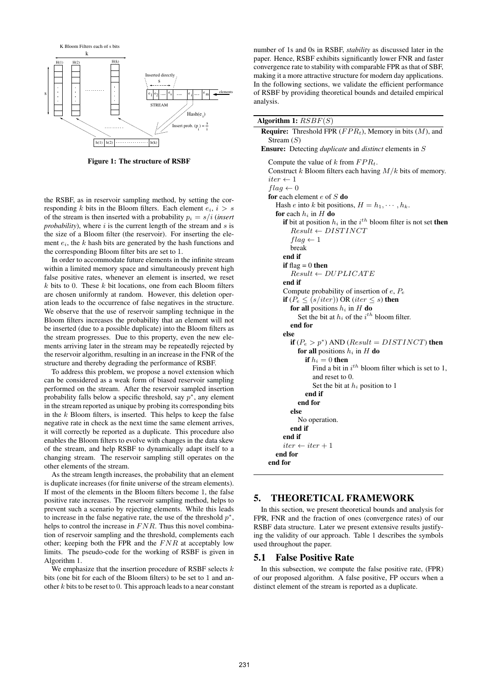

Figure 1: The structure of RSBF

the RSBF, as in reservoir sampling method, by setting the corresponding k bits in the Bloom filters. Each element  $e_i$ ,  $i > s$ of the stream is then inserted with a probability  $p_i = s/i$  (*insert probability*), where  $i$  is the current length of the stream and  $s$  is the size of a Bloom filter (the reservoir). For inserting the element  $e_i$ , the k hash bits are generated by the hash functions and the corresponding Bloom filter bits are set to 1.

In order to accommodate future elements in the infinite stream within a limited memory space and simultaneously prevent high false positive rates, whenever an element is inserted, we reset  $k$  bits to 0. These  $k$  bit locations, one from each Bloom filters are chosen uniformly at random. However, this deletion operation leads to the occurrence of false negatives in the structure. We observe that the use of reservoir sampling technique in the Bloom filters increases the probability that an element will not be inserted (due to a possible duplicate) into the Bloom filters as the stream progresses. Due to this property, even the new elements arriving later in the stream may be repeatedly rejected by the reservoir algorithm, resulting in an increase in the FNR of the structure and thereby degrading the performance of RSBF.

To address this problem, we propose a novel extension which can be considered as a weak form of biased reservoir sampling performed on the stream. After the reservoir sampled insertion probability falls below a specific threshold, say  $p^*$ , any element in the stream reported as unique by probing its corresponding bits in the  $k$  Bloom filters, is inserted. This helps to keep the false negative rate in check as the next time the same element arrives, it will correctly be reported as a duplicate. This procedure also enables the Bloom filters to evolve with changes in the data skew of the stream, and help RSBF to dynamically adapt itself to a changing stream. The reservoir sampling still operates on the other elements of the stream.

As the stream length increases, the probability that an element is duplicate increases (for finite universe of the stream elements). If most of the elements in the Bloom filters become 1, the false positive rate increases. The reservoir sampling method, helps to prevent such a scenario by rejecting elements. While this leads to increase in the false negative rate, the use of the threshold  $p^*$ , helps to control the increase in  $FNR$ . Thus this novel combination of reservoir sampling and the threshold, complements each other; keeping both the FPR and the  $FNR$  at acceptably low limits. The pseudo-code for the working of RSBF is given in Algorithm 1.

We emphasize that the insertion procedure of RSBF selects  $k$ bits (one bit for each of the Bloom filters) to be set to 1 and another  $k$  bits to be reset to 0. This approach leads to a near constant number of 1s and 0s in RSBF, *stability* as discussed later in the paper. Hence, RSBF exhibits significantly lower FNR and faster convergence rate to stability with comparable FPR as that of SBF, making it a more attractive structure for modern day applications. In the following sections, we validate the efficient performance of RSBF by providing theoretical bounds and detailed empirical analysis.

Algorithm 1:  $RSBF(S)$ **Require:** Threshold FPR  $(FPR_t)$ , Memory in bits  $(M)$ , and Stream  $(S)$ Ensure: Detecting *duplicate* and *distinct* elements in S Compute the value of  $k$  from  $FPR_t$ . Construct  $k$  Bloom filters each having  $M/k$  bits of memory.  $iter \leftarrow 1$  $flag \leftarrow 0$ for each element  $e$  of  $S$  do Hash e into k bit positions,  $H = h_1, \dots, h_k$ . for each  $h_i$  in H do if bit at position  $h_i$  in the  $i^{th}$  bloom filter is not set then  $Result \leftarrow DISTINCT$  $flag \leftarrow 1$ break end if if  $flag = 0$  then  $Result \leftarrow DUPLICATE$ end if Compute probability of insertion of  $e, P_e$ if  $(P_e \leq (s/iter))$  OR (iter  $\leq s$ ) then for all positions  $h_i$  in H do Set the bit at  $h_i$  of the  $i^{th}$  bloom filter. end for else **if**  $(P_e > p^*)$  AND (*Result = DISTINCT*) then for all positions  $h_i$  in H do if  $\mathfrak{h}_i=0$  then Find a bit in  $i^{th}$  bloom filter which is set to 1, and reset to 0. Set the bit at  $h_i$  position to 1 end if end for else No operation. end if end if  $iter \leftarrow iter + 1$ end for end for

# 5. THEORETICAL FRAMEWORK

In this section, we present theoretical bounds and analysis for FPR, FNR and the fraction of ones (convergence rates) of our RSBF data structure. Later we present extensive results justifying the validity of our approach. Table 1 describes the symbols used throughout the paper.

#### 5.1 False Positive Rate

In this subsection, we compute the false positive rate, (FPR) of our proposed algorithm. A false positive, FP occurs when a distinct element of the stream is reported as a duplicate.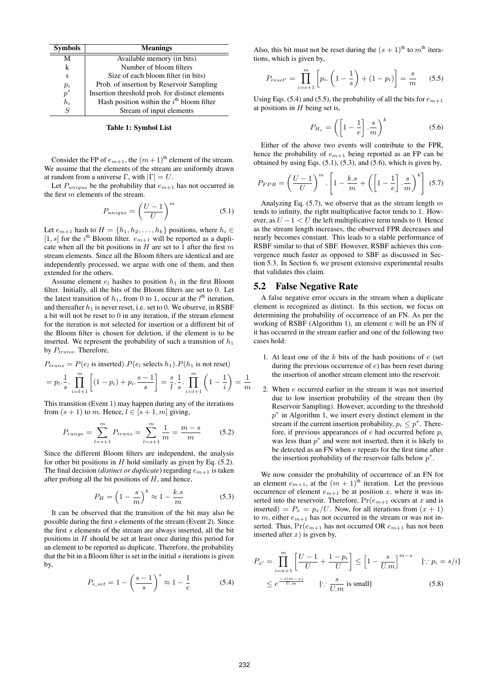| <b>Symbols</b> | <b>Meanings</b>                                       |  |  |  |
|----------------|-------------------------------------------------------|--|--|--|
| М              | Available memory (in bits)                            |  |  |  |
| k              | Number of bloom filters                               |  |  |  |
| S              | Size of each bloom filter (in bits)                   |  |  |  |
| $p_i$          | Prob. of insertion by Reservoir Sampling              |  |  |  |
| $p^*$          | Insertion threshold prob. for distinct elements       |  |  |  |
| $h_i$          | Hash position within the $i^{\text{th}}$ bloom filter |  |  |  |
| S              | Stream of input elements                              |  |  |  |

Table 1: Symbol List

Consider the FP of  $e_{m+1}$ , the  $(m+1)$ <sup>th</sup> element of the stream. We assume that the elements of the stream are uniformly drawn at random from a universe Γ, with  $|\Gamma| = U$ .

Let  $P_{unique}$  be the probability that  $e_{m+1}$  has not occurred in the first m elements of the stream.

$$
P_{unique} = \left(\frac{U-1}{U}\right)^m \tag{5.1}
$$

Let  $e_{m+1}$  hash to  $H = \{h_1, h_2, \ldots, h_k\}$  positions, where  $h_i \in$ [1, s] for the i<sup>th</sup> Bloom filter.  $e_{m+1}$  will be reported as a duplicate when all the bit positions in  $H$  are set to 1 after the first  $m$ stream elements. Since all the Bloom filters are identical and are independently processed, we argue with one of them, and then extended for the others.

Assume element  $e_l$  hashes to position  $h_1$  in the first Bloom filter. Initially, all the bits of the Bloom filters are set to 0. Let the latest transition of  $h_1$ , from 0 to 1, occur at the  $l^{\text{th}}$  iteration, and thereafter  $h_1$  is never reset, i.e. set to 0. We observe, in RSBF a bit will not be reset to 0 in any iteration, if the stream element for the iteration is not selected for insertion or a different bit of the Bloom filter is chosen for deletion, if the element is to be inserted. We represent the probability of such a transition of  $h_1$ by  $P_{trans}$ . Therefore,

$$
P_{trans} = P(e_l \text{ is inserted}).P(e_l \text{ selects } h_1).P(h_1 \text{ is not reset})
$$

$$
= p_l \cdot \frac{1}{s} \cdot \prod_{i=l+1}^{m} \left[ (1-p_i) + p_i \cdot \frac{s-1}{s} \right] = \frac{s}{l} \cdot \frac{1}{s} \cdot \prod_{i=l+1}^{m} \left( 1 - \frac{1}{i} \right) = \frac{1}{m}
$$

This transition (Event 1) may happen during any of the iterations from  $(s + 1)$  to m. Hence,  $l \in [s + 1, m]$  giving,

$$
P_{range} = \sum_{l=s+1}^{m} P_{trans} = \sum_{l=s+1}^{m} \frac{1}{m} = \frac{m-s}{m}
$$
 (5.2)

Since the different Bloom filters are independent, the analysis for other bit positions in  $H$  hold similarly as given by Eq. (5.2). The final decision (*distinct or duplicate*) regarding em+1 is taken after probing all the bit positions of  $H$ , and hence,

$$
P_H = \left(1 - \frac{s}{m}\right)^k \approx 1 - \frac{k.s}{m} \tag{5.3}
$$

It can be observed that the transition of the bit may also be possible during the first s elements of the stream (Event 2). Since the first s elements of the stream are always inserted, all the bit positions in H should be set at least once during this period for an element to be reported as duplicate. Therefore, the probability that the bit in a Bloom filter is set in the initial  $s$  iterations is given by,

$$
P_{s\_set} = 1 - \left(\frac{s-1}{s}\right)^s \approx 1 - \frac{1}{e}
$$
 (5.4)

Also, this bit must not be reset during the  $(s + 1)$ <sup>th</sup> to  $m<sup>th</sup>$  iterations, which is given by,

$$
P_{reset'} = \prod_{i=s+1}^{m} \left[ p_i \cdot \left( 1 - \frac{1}{s} \right) + (1 - p_i) \right] = \frac{s}{m} \quad (5.5)
$$

Using Eqs. (5.4) and (5.5), the probability of all the bits for  $e_{m+1}$ at positions in  $H$  being set is,

$$
P_{H_s} = \left( \left[ 1 - \frac{1}{e} \right] \cdot \frac{s}{m} \right)^k \tag{5.6}
$$

Either of the above two events will contribute to the FPR, hence the probability of  $e_{m+1}$  being reported as an FP can be obtained by using Eqs. (5.1), (5.3), and (5.6), which is given by,

$$
P_{FPR} = \left(\frac{U-1}{U}\right)^m \cdot \left[1 - \frac{k \cdot s}{m} + \left(\left[1 - \frac{1}{e}\right] \cdot \frac{s}{m}\right)^k\right] \tag{5.7}
$$

Analyzing Eq.  $(5.7)$ , we observe that as the stream length m tends to infinity, the right multiplicative factor tends to 1. However, as  $U - 1 < U$  the left multiplicative term tends to 0. Hence as the stream length increases, the observed FPR decreases and nearly becomes constant. This leads to a stable performance of RSBF similar to that of SBF. However, RSBF achieves this convergence much faster as opposed to SBF as discussed in Section 5.3. In Section 6, we present extensive experimental results that validates this claim.

#### 5.2 False Negative Rate

A false negative error occurs in the stream when a duplicate element is recognized as distinct. In this section, we focus on determining the probability of occurrence of an FN. As per the working of RSBF (Algorithm 1), an element  $e$  will be an FN if it has occurred in the stream earlier and one of the following two cases hold:

- 1. At least one of the  $k$  bits of the hash positions of  $e$  (set during the previous occurrence of  $e$ ) has been reset during the insertion of another stream element into the reservoir.
- 2. When e occurred earlier in the stream it was not inserted due to low insertion probability of the stream then (by Reservoir Sampling). However, according to the threshold  $p^*$  in Algorithm 1, we insert every distinct element in the stream if the current insertion probability,  $p_i \leq p^*$ . Therefore, if previous appearances of  $e$  had occurred before  $p_i$ was less than  $p^*$  and were not inserted, then it is likely to be detected as an FN when e repeats for the first time after the insertion probability of the reservoir falls below  $p^*$ .

We now consider the probability of occurrence of an FN for an element  $e_{m+1}$ , at the  $(m + 1)$ <sup>th</sup> iteration. Let the previous occurrence of element  $e_{m+1}$  be at position x, where it was inserted into the reservoir. Therefore,  $Pr(e_{m+1}$  occurs at x and is inserted) =  $P_x = p_x/U$ . Now, for all iterations from  $(x + 1)$ to m, either  $e_{m+1}$  has not occurred in the stream or was not inserted. Thus,  $Pr(e_{m+1}$  has not occurred OR  $e_{m+1}$  has not been inserted after  $x$ ) is given by,

$$
P_{x'} = \prod_{i=x+1}^{m} \left[ \frac{U-1}{U} + \frac{1-p_i}{U} \right] \le \left[ 1 - \frac{s}{U.m} \right]^{m-x} \quad [\because p_i = s/i]
$$

$$
\le e^{\frac{-s(m-x)}{U.m}} \quad [\because \frac{s}{U.m} \text{ is small}] \tag{5.8}
$$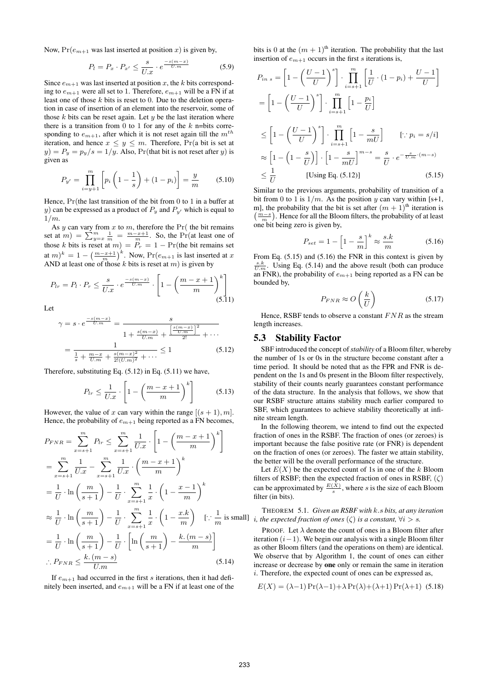Now,  $Pr(e_{m+1}$  was last inserted at position x) is given by,

$$
P_l = P_x \cdot P_{x'} \le \frac{s}{U.x} \cdot e^{\frac{-s(m-x)}{U.m}} \tag{5.9}
$$

Since  $e_{m+1}$  was last inserted at position x, the k bits corresponding to  $e_{m+1}$  were all set to 1. Therefore,  $e_{m+1}$  will be a FN if at least one of those  $k$  bits is reset to 0. Due to the deletion operation in case of insertion of an element into the reservoir, some of those  $k$  bits can be reset again. Let  $y$  be the last iteration where there is a transition from 0 to 1 for any of the  $k$  n=bits corresponding to  $e_{m+1}$ , after which it is not reset again till the  $m^{th}$ iteration, and hence  $x \leq y \leq m$ . Therefore,  $Pr(a \text{ bit is set at }$  $y) = P_y = p_y/s = 1/y$ . Also, Pr(that bit is not reset after y) is given as

$$
P_{y'} = \prod_{i=y+1}^{m} \left[ p_i \left( 1 - \frac{1}{s} \right) + (1 - p_i) \right] = \frac{y}{m}
$$
 (5.10)

Hence, Pr(the last transition of the bit from 0 to 1 in a buffer at y) can be expressed as a product of  $P_y$  and  $P_{y'}$  which is equal to  $1/m$ .

As  $y$  can vary from  $x$  to  $m$ , therefore the Pr( the bit remains set at  $m$ ) =  $\sum_{y=x}^{m} \frac{1}{m}$  =  $\frac{m-x+1}{m}$ . So, the Pr(at least one of those k bits is reset at  $m = P_r = 1 - Pr$ (the bit remains set at  $m)^k = 1 - \left(\frac{m-x+1}{m}\right)^k$ . Now,  $Pr(e_{m+1}$  is last inserted at x AND at least one of those k bits is reset at  $m$ ) is given by

$$
P_{lr} = P_l \cdot P_r \le \frac{s}{U.x} \cdot e^{\frac{-s(m-x)}{U.m}} \cdot \left[1 - \left(\frac{m-x+1}{m}\right)^k\right]
$$
\n
$$
(5.11)
$$

Let

$$
\gamma = s \cdot e^{\frac{-s(m-x)}{U.m}} = \frac{s}{1 + \frac{s(m-x)}{U.m} + \frac{\left[\frac{s(m-x)}{U.m}\right]^2}{2!} + \cdots}
$$

$$
= \frac{1}{\frac{1}{s} + \frac{m-x}{U.m} + \frac{s(m-x)^2}{2!(U.m)^2} + \cdots} \le 1
$$
(5.12)

Therefore, substituting Eq. (5.12) in Eq. (5.11) we have,

$$
P_{lr} \le \frac{1}{U.x} \cdot \left[ 1 - \left( \frac{m-x+1}{m} \right)^k \right] \tag{5.13}
$$

However, the value of x can vary within the range  $[(s + 1), m]$ . Hence, the probability of  $e_{m+1}$  being reported as a FN becomes,

$$
P_{FNR} = \sum_{x=s+1}^{m} P_{tr} \le \sum_{x=s+1}^{m} \frac{1}{U.x} \cdot \left[ 1 - \left( \frac{m-x+1}{m} \right)^{k} \right]
$$
  
\n
$$
= \sum_{x=s+1}^{m} \frac{1}{U.x} - \sum_{x=s+1}^{m} \frac{1}{U.x} \cdot \left( \frac{m-x+1}{m} \right)^{k}
$$
  
\n
$$
= \frac{1}{U} \cdot \ln \left( \frac{m}{s+1} \right) - \frac{1}{U} \cdot \sum_{x=s+1}^{m} \frac{1}{x} \cdot \left( 1 - \frac{x-1}{m} \right)^{k}
$$
  
\n
$$
\approx \frac{1}{U} \cdot \ln \left( \frac{m}{s+1} \right) - \frac{1}{U} \cdot \sum_{x=s+1}^{m} \frac{1}{x} \cdot \left( 1 - \frac{x.k}{m} \right) \quad [\because \frac{1}{m} \text{ is sm}
$$
  
\n
$$
= \frac{1}{U} \cdot \ln \left( \frac{m}{s+1} \right) - \frac{1}{U} \cdot \left[ \ln \left( \frac{m}{s+1} \right) - \frac{k.(m-s)}{m} \right]
$$
  
\n
$$
\therefore P_{FNR} \le \frac{k.(m-s)}{U.m}
$$
 (5.14)

If  $e_{m+1}$  had occurred in the first s iterations, then it had definitely been inserted, and  $e_{m+1}$  will be a FN if at least one of the bits is 0 at the  $(m + 1)$ <sup>th</sup> iteration. The probability that the last insertion of  $e_{m+1}$  occurs in the first s iterations is,

$$
P_{in\ s} = \left[1 - \left(\frac{U-1}{U}\right)^s\right] \cdot \prod_{i=s+1}^m \left[\frac{1}{U} \cdot (1-p_i) + \frac{U-1}{U}\right]
$$

$$
= \left[1 - \left(\frac{U-1}{U}\right)^s\right] \cdot \prod_{i=s+1}^m \left[1 - \frac{p_i}{U}\right]
$$

$$
\leq \left[1 - \left(\frac{U-1}{U}\right)^s\right] \cdot \prod_{i=s+1}^m \left[1 - \frac{s}{mU}\right] \qquad [\because p_i = s/i]
$$

$$
\approx \left[1 - \left(1 - \frac{s}{U}\right)\right] \cdot \left[1 - \frac{s}{mU}\right]^{m-s} = \frac{s}{U} \cdot e^{-\frac{s}{U \cdot m} \cdot (m-s)}
$$

$$
\leq \frac{1}{U} \qquad \text{[Using Eq. (5.12)]} \qquad (5.15)
$$

Similar to the previous arguments, probability of transition of a bit from 0 to 1 is  $1/m$ . As the position y can vary within [s+1, m], the probability that the bit is set after  $(m + 1)$ <sup>th</sup> iteration is  $\left(\frac{m-s}{m}\right)$ . Hence for all the Bloom filters, the probability of at least one bit being zero is given by,

$$
P_{set} = 1 - \left[1 - \frac{s}{m}\right]^k \approx \frac{s.k}{m} \tag{5.16}
$$

From Eq.  $(5.15)$  and  $(5.16)$  the FNR in this context is given by  $\frac{s.k}{U.m}$ . Using Eq. (5.14) and the above result (both can produce an FNR), the probability of  $e_{m+1}$  being reported as a FN can be bounded by,

$$
P_{FNR} \approx O\left(\frac{k}{U}\right) \tag{5.17}
$$

Hence, RSBF tends to observe a constant  $FNR$  as the stream length increases.

# 5.3 Stability Factor

SBF introduced the concept of*stability* of a Bloom filter, whereby the number of 1s or 0s in the structure become constant after a time period. It should be noted that as the FPR and FNR is dependent on the 1s and 0s present in the Bloom filter respectively, stability of their counts nearly guarantees constant performance of the data structure. In the analysis that follows, we show that our RSBF structure attains stability much earlier compared to SBF, which guarantees to achieve stability theoretically at infinite stream length.

In the following theorem, we intend to find out the expected fraction of ones in the RSBF. The fraction of ones (or zeroes) is important because the false positive rate (or FNR) is dependent on the fraction of ones (or zeroes). The faster we attain stability, the better will be the overall performance of the structure.

Let  $E(X)$  be the expected count of 1s in one of the k Bloom filters of RSBF; then the expected fraction of ones in RSBF,  $(\zeta)$ can be approximated by  $\frac{E(X)}{s}$ , where s is the size of each Bloom filter (in bits).

is small] *i*, the expected fraction of ones  $(\zeta)$  is a constant,  $\forall i > s$ . THEOREM 5.1. *Given an RSBF with* k.s *bits, at any iteration*

> PROOF. Let  $\lambda$  denote the count of ones in a Bloom filter after iteration  $(i-1)$ . We begin our analysis with a single Bloom filter as other Bloom filters (and the operations on them) are identical. We observe that by Algorithm 1, the count of ones can either increase or decrease by one only or remain the same in iteration i. Therefore, the expected count of ones can be expressed as,

$$
E(X) = (\lambda - 1) \Pr(\lambda - 1) + \lambda \Pr(\lambda) + (\lambda + 1) \Pr(\lambda + 1)
$$
 (5.18)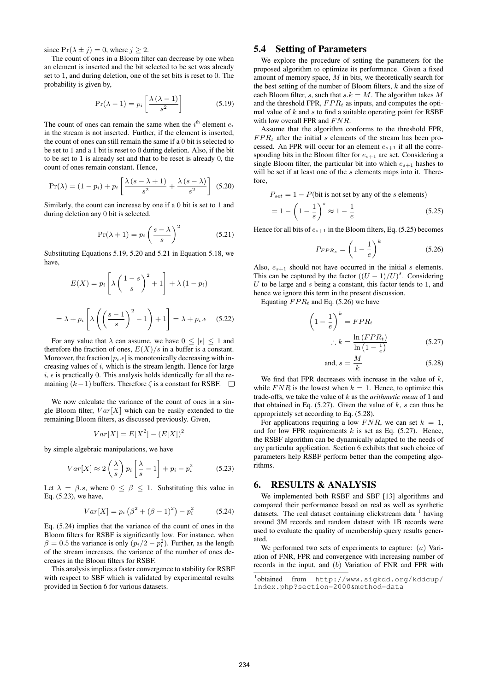since  $Pr(\lambda \pm j) = 0$ , where  $j \geq 2$ .

The count of ones in a Bloom filter can decrease by one when an element is inserted and the bit selected to be set was already set to 1, and during deletion, one of the set bits is reset to 0. The probability is given by,

$$
\Pr(\lambda - 1) = p_i \left[ \frac{\lambda \left( \lambda - 1 \right)}{s^2} \right] \tag{5.19}
$$

The count of ones can remain the same when the  $i^{\text{th}}$  element  $e_i$ in the stream is not inserted. Further, if the element is inserted, the count of ones can still remain the same if a 0 bit is selected to be set to 1 and a 1 bit is reset to 0 during deletion. Also, if the bit to be set to 1 is already set and that to be reset is already 0, the count of ones remain constant. Hence,

$$
Pr(\lambda) = (1 - p_i) + p_i \left[ \frac{\lambda (s - \lambda + 1)}{s^2} + \frac{\lambda (s - \lambda)}{s^2} \right] (5.20)
$$

Similarly, the count can increase by one if a 0 bit is set to 1 and during deletion any 0 bit is selected.

$$
\Pr(\lambda + 1) = p_i \left(\frac{s - \lambda}{s}\right)^2 \tag{5.21}
$$

Substituting Equations 5.19, 5.20 and 5.21 in Equation 5.18, we have,

$$
E(X) = p_i \left[ \lambda \left( \frac{1 - s}{s} \right)^2 + 1 \right] + \lambda (1 - p_i)
$$

$$
= \lambda + p_i \left[ \lambda \left( \left( \frac{s - 1}{s} \right)^2 - 1 \right) + 1 \right] = \lambda + p_i. \epsilon \quad (5.22)
$$

For any value that  $\lambda$  can assume, we have  $0 \leq |\epsilon| \leq 1$  and therefore the fraction of ones,  $E(X)/s$  in a buffer is a constant. Moreover, the fraction  $|p_i.\epsilon|$  is monotonically decreasing with increasing values of  $i$ , which is the stream length. Hence for large  $i, \epsilon$  is practically 0. This analysis holds identically for all the remaining  $(k-1)$  buffers. Therefore  $\zeta$  is a constant for RSBF.  $\square$ 

We now calculate the variance of the count of ones in a single Bloom filter,  $Var[X]$  which can be easily extended to the remaining Bloom filters, as discussed previously. Given,

$$
Var[X] = E[X^2] - (E[X])^2
$$

by simple algebraic manipulations, we have

$$
Var[X] \approx 2\left(\frac{\lambda}{s}\right) p_i \left[\frac{\lambda}{s} - 1\right] + p_i - p_i^2 \tag{5.23}
$$

Let  $\lambda = \beta.s$ , where  $0 \leq \beta \leq 1$ . Substituting this value in Eq. (5.23), we have,

$$
Var[X] = p_i (\beta^2 + (\beta - 1)^2) - p_i^2 \tag{5.24}
$$

Eq. (5.24) implies that the variance of the count of ones in the Bloom filters for RSBF is significantly low. For instance, when  $\beta = 0.5$  the variance is only  $(p_i/2 - p_i^2)$ . Further, as the length of the stream increases, the variance of the number of ones decreases in the Bloom filters for RSBF.

This analysis implies a faster convergence to stability for RSBF with respect to SBF which is validated by experimental results provided in Section 6 for various datasets.

# 5.4 Setting of Parameters

We explore the procedure of setting the parameters for the proposed algorithm to optimize its performance. Given a fixed amount of memory space, M in bits, we theoretically search for the best setting of the number of Bloom filters,  $k$  and the size of each Bloom filter, s, such that  $s.k = M$ . The algorithm takes M and the threshold FPR,  $FPR_t$  as inputs, and computes the optimal value of  $k$  and  $s$  to find a suitable operating point for RSBF with low overall FPR and  $FNR$ .

Assume that the algorithm conforms to the threshold FPR,  $FPR_t$  after the initial s elements of the stream has been processed. An FPR will occur for an element  $e_{s+1}$  if all the corresponding bits in the Bloom filter for  $e_{s+1}$  are set. Considering a single Bloom filter, the particular bit into which  $e_{s+1}$  hashes to will be set if at least one of the s elements maps into it. Therefore,

$$
P_{set} = 1 - P(\text{bit is not set by any of the } s \text{ elements})
$$

$$
= 1 - \left(1 - \frac{1}{s}\right)^s \approx 1 - \frac{1}{e}
$$
(5.25)

Hence for all bits of  $e_{s+1}$  in the Bloom filters, Eq. (5.25) becomes

$$
P_{FPR_s} = \left(1 - \frac{1}{e}\right)^k \tag{5.26}
$$

Also,  $e_{s+1}$  should not have occurred in the initial s elements. This can be captured by the factor  $((U - 1)/U)^s$ . Considering  $U$  to be large and  $s$  being a constant, this factor tends to 1, and hence we ignore this term in the present discussion.

Equating  $FPR_t$  and Eq. (5.26) we have

$$
\left(1 - \frac{1}{e}\right)^k = FPR_t
$$
  

$$
\therefore k = \frac{\ln (FPR_t)}{\ln \left(1 - \frac{1}{e}\right)}
$$
 (5.27)

and, 
$$
s = \frac{M}{k}
$$
 (5.28)

We find that FPR decreases with increase in the value of  $k$ , while  $FNR$  is the lowest when  $k = 1$ . Hence, to optimize this trade-offs, we take the value of k as the *arithmetic mean* of 1 and that obtained in Eq.  $(5.27)$ . Given the value of k, s can thus be appropriately set according to Eq. (5.28).

For applications requiring a low  $FNR$ , we can set  $k = 1$ , and for low FPR requirements  $k$  is set as Eq. (5.27). Hence, the RSBF algorithm can be dynamically adapted to the needs of any particular application. Section 6 exhibits that such choice of parameters help RSBF perform better than the competing algorithms.

# 6. RESULTS & ANALYSIS

We implemented both RSBF and SBF [13] algorithms and compared their performance based on real as well as synthetic datasets. The real dataset containing clickstream data  $1$  having around 3M records and random dataset with 1B records were used to evaluate the quality of membership query results generated.

We performed two sets of experiments to capture:  $(a)$  Variation of FNR, FPR and convergence with increasing number of records in the input, and (b) Variation of FNR and FPR with

<sup>1</sup> obtained from http://www.sigkdd.org/kddcup/ index.php?section=2000&method=data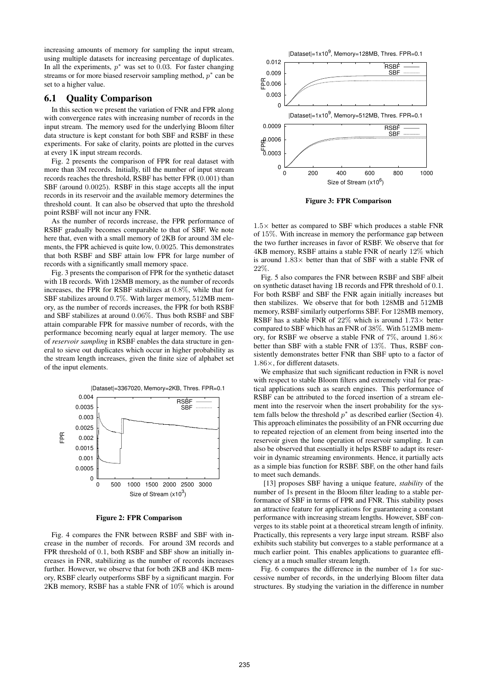increasing amounts of memory for sampling the input stream, using multiple datasets for increasing percentage of duplicates. In all the experiments,  $p^*$  was set to 0.03. For faster changing streams or for more biased reservoir sampling method,  $p^*$  can be set to a higher value.

#### 6.1 Quality Comparison

In this section we present the variation of FNR and FPR along with convergence rates with increasing number of records in the input stream. The memory used for the underlying Bloom filter data structure is kept constant for both SBF and RSBF in these experiments. For sake of clarity, points are plotted in the curves at every 1K input stream records.

Fig. 2 presents the comparison of FPR for real dataset with more than 3M records. Initially, till the number of input stream records reaches the threshold, RSBF has better FPR (0.001) than SBF (around 0.0025). RSBF in this stage accepts all the input records in its reservoir and the available memory determines the threshold count. It can also be observed that upto the threshold point RSBF will not incur any FNR.

As the number of records increase, the FPR performance of RSBF gradually becomes comparable to that of SBF. We note here that, even with a small memory of 2KB for around 3M elements, the FPR achieved is quite low, 0.0025. This demonstrates that both RSBF and SBF attain low FPR for large number of records with a significantly small memory space.

Fig. 3 presents the comparison of FPR for the synthetic dataset with 1B records. With 128MB memory, as the number of records increases, the FPR for RSBF stabilizes at 0.8%, while that for SBF stabilizes around 0.7%. With larger memory, 512MB memory, as the number of records increases, the FPR for both RSBF and SBF stabilizes at around 0.06%. Thus both RSBF and SBF attain comparable FPR for massive number of records, with the performance becoming nearly equal at larger memory. The use of *reservoir sampling* in RSBF enables the data structure in general to sieve out duplicates which occur in higher probability as the stream length increases, given the finite size of alphabet set of the input elements.



Figure 2: FPR Comparison

Fig. 4 compares the FNR between RSBF and SBF with increase in the number of records. For around 3M records and FPR threshold of 0.1, both RSBF and SBF show an initially increases in FNR, stabilizing as the number of records increases further. However, we observe that for both 2KB and 4KB memory, RSBF clearly outperforms SBF by a significant margin. For 2KB memory, RSBF has a stable FNR of 10% which is around



Figure 3: FPR Comparison

 $1.5\times$  better as compared to SBF which produces a stable FNR of 15%. With increase in memory the performance gap between the two further increases in favor of RSBF. We observe that for 4KB memory, RSBF attains a stable FNR of nearly 12% which is around  $1.83\times$  better than that of SBF with a stable FNR of 22%.

Fig. 5 also compares the FNR between RSBF and SBF albeit on synthetic dataset having 1B records and FPR threshold of 0.1. For both RSBF and SBF the FNR again initially increases but then stabilizes. We observe that for both 128MB and 512MB memory, RSBF similarly outperforms SBF. For 128MB memory, RSBF has a stable FNR of  $22\%$  which is around  $1.73\times$  better compared to SBF which has an FNR of 38%. With 512MB memory, for RSBF we observe a stable FNR of 7%, around  $1.86\times$ better than SBF with a stable FNR of 13%. Thus, RSBF consistently demonstrates better FNR than SBF upto to a factor of 1.86×, for different datasets.

We emphasize that such significant reduction in FNR is novel with respect to stable Bloom filters and extremely vital for practical applications such as search engines. This performance of RSBF can be attributed to the forced insertion of a stream element into the reservoir when the insert probability for the system falls below the threshold  $p^*$  as described earlier (Section 4). This approach eliminates the possibility of an FNR occurring due to repeated rejection of an element from being inserted into the reservoir given the lone operation of reservoir sampling. It can also be observed that essentially it helps RSBF to adapt its reservoir in dynamic streaming environments. Hence, it partially acts as a simple bias function for RSBF. SBF, on the other hand fails to meet such demands.

[13] proposes SBF having a unique feature, *stability* of the number of 1s present in the Bloom filter leading to a stable performance of SBF in terms of FPR and FNR. This stability poses an attractive feature for applications for guaranteeing a constant performance with increasing stream lengths. However, SBF converges to its stable point at a theoretical stream length of infinity. Practically, this represents a very large input stream. RSBF also exhibits such stability but converges to a stable performance at a much earlier point. This enables applications to guarantee efficiency at a much smaller stream length.

Fig. 6 compares the difference in the number of 1s for successive number of records, in the underlying Bloom filter data structures. By studying the variation in the difference in number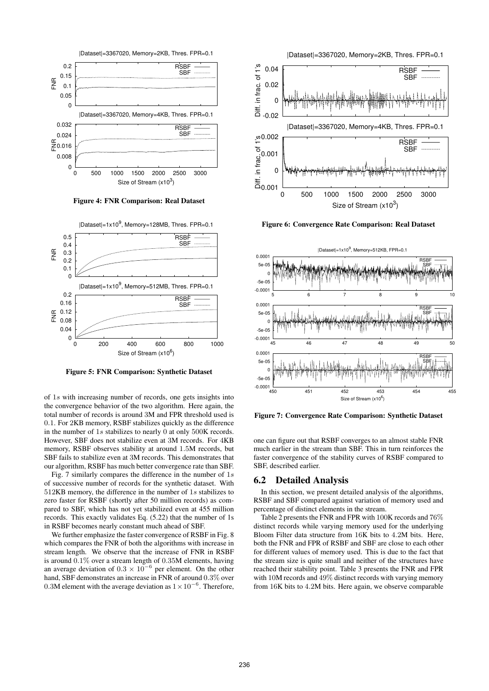

Figure 4: FNR Comparison: Real Dataset



Figure 5: FNR Comparison: Synthetic Dataset

of 1s with increasing number of records, one gets insights into the convergence behavior of the two algorithm. Here again, the total number of records is around 3M and FPR threshold used is 0.1. For 2KB memory, RSBF stabilizes quickly as the difference in the number of 1s stabilizes to nearly 0 at only 500K records. However, SBF does not stabilize even at 3M records. For 4KB memory, RSBF observes stability at around 1.5M records, but SBF fails to stabilize even at 3M records. This demonstrates that our algorithm, RSBF has much better convergence rate than SBF.

Fig. 7 similarly compares the difference in the number of  $1s$ of successive number of records for the synthetic dataset. With 512KB memory, the difference in the number of 1s stabilizes to zero faster for RSBF (shortly after 50 million records) as compared to SBF, which has not yet stabilized even at 455 million records. This exactly validates Eq. (5.22) that the number of 1s in RSBF becomes nearly constant much ahead of SBF.

We further emphasize the faster convergence of RSBF in Fig. 8 which compares the FNR of both the algorithms with increase in stream length. We observe that the increase of FNR in RSBF is around 0.1% over a stream length of 0.35M elements, having an average deviation of  $0.3 \times 10^{-6}$  per element. On the other hand, SBF demonstrates an increase in FNR of around 0.3% over 0.3M element with the average deviation as  $1 \times 10^{-6}$ . Therefore,



Figure 6: Convergence Rate Comparison: Real Dataset



Figure 7: Convergence Rate Comparison: Synthetic Dataset

one can figure out that RSBF converges to an almost stable FNR much earlier in the stream than SBF. This in turn reinforces the faster convergence of the stability curves of RSBF compared to SBF, described earlier.

#### 6.2 Detailed Analysis

In this section, we present detailed analysis of the algorithms, RSBF and SBF compared against variation of memory used and percentage of distinct elements in the stream.

Table 2 presents the FNR and FPR with 100K records and 76% distinct records while varying memory used for the underlying Bloom Filter data structure from 16K bits to 4.2M bits. Here, both the FNR and FPR of RSBF and SBF are close to each other for different values of memory used. This is due to the fact that the stream size is quite small and neither of the structures have reached their stability point. Table 3 presents the FNR and FPR with 10M records and 49% distinct records with varying memory from 16K bits to 4.2M bits. Here again, we observe comparable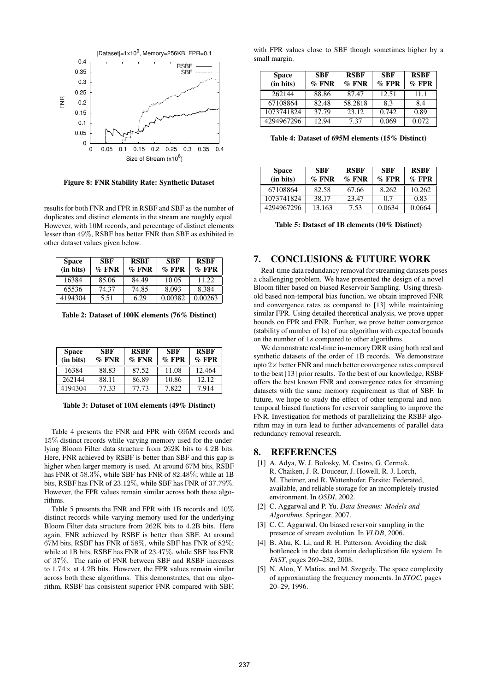

Figure 8: FNR Stability Rate: Synthetic Dataset

results for both FNR and FPR in RSBF and SBF as the number of duplicates and distinct elements in the stream are roughly equal. However, with 10M records, and percentage of distinct elements lesser than 49%, RSBF has better FNR than SBF as exhibited in other dataset values given below.

| <b>Space</b><br>(in bits) | <b>SBF</b><br>$\%$ FNR | <b>RSBF</b><br>$\%$ FNR | <b>SBF</b><br>$\%$ FPR | <b>RSBF</b><br>$\%$ FPR |
|---------------------------|------------------------|-------------------------|------------------------|-------------------------|
| 16384                     | 85.06                  | 84.49                   | 10.05                  | 11.22                   |
| 65536                     | 74.37                  | 74.85                   | 8.093                  | 8.384                   |
| 4194304                   | 5.51                   | 6.29                    | 0.00382                | 0.00263                 |

Table 2: Dataset of 100K elements (76% Distinct)

| <b>Space</b><br>(in bits) | <b>SBF</b><br>$\%$ FNR | <b>RSBF</b><br>$\%$ FNR | <b>SBF</b><br>$\%$ FPR | <b>RSBF</b><br>$\%$ FPR |
|---------------------------|------------------------|-------------------------|------------------------|-------------------------|
| 16384                     | 88.83                  | 87.52                   | 11.08                  | 12.464                  |
| 262144                    | 88.11                  | 86.89                   | 10.86                  | 12.12.                  |
| 4194304                   | 77.33                  | 77.73                   | 7.822                  | 7.914                   |

Table 3: Dataset of 10M elements (49% Distinct)

Table 4 presents the FNR and FPR with 695M records and 15% distinct records while varying memory used for the underlying Bloom Filter data structure from 262K bits to 4.2B bits. Here, FNR achieved by RSBF is better than SBF and this gap is higher when larger memory is used. At around 67M bits, RSBF has FNR of 58.3%, while SBF has FNR of 82.48%; while at 1B bits, RSBF has FNR of 23.12%, while SBF has FNR of 37.79%. However, the FPR values remain similar across both these algorithms.

Table 5 presents the FNR and FPR with 1B records and 10% distinct records while varying memory used for the underlying Bloom Filter data structure from 262K bits to 4.2B bits. Here again, FNR achieved by RSBF is better than SBF. At around 67M bits, RSBF has FNR of 58%, while SBF has FNR of 82%; while at 1B bits, RSBF has FNR of 23.47%, while SBF has FNR of 37%. The ratio of FNR between SBF and RSBF increases to  $1.74 \times$  at 4.2B bits. However, the FPR values remain similar across both these algorithms. This demonstrates, that our algorithm, RSBF has consistent superior FNR compared with SBF, with FPR values close to SBF though sometimes higher by a small margin.

| <b>Space</b> | <b>SBF</b> | <b>RSBF</b> | <b>SBF</b> | <b>RSBF</b> |
|--------------|------------|-------------|------------|-------------|
| (in bits)    | $\%$ FNR   | $\%$ FNR    | $\%$ FPR   | $%$ FPR     |
| 262144       | 88.86      | 87.47       | 12.51      | 11.1        |
| 67108864     | 82.48      | 58.2818     | 8.3        | 8.4         |
| 1073741824   | 37.79      | 23.12       | 0.742      | 0.89        |
| 4294967296   | 12.94      | 7.37        | 0.069      | 0.072       |

Table 4: Dataset of 695M elements (15% Distinct)

| <b>Space</b><br>(in bits) | <b>SBF</b><br>$\%$ FNR | <b>RSBF</b><br>$\%$ FNR | <b>SBF</b><br>$\%$ FPR | <b>RSBF</b><br>$\%$ FPR |
|---------------------------|------------------------|-------------------------|------------------------|-------------------------|
| 67108864                  | 82.58                  | 67.66                   | 8.262                  | 10.262                  |
| 1073741824                | 38.17                  | 23.47                   | 0.7                    | 0.83                    |
| 4294967296                | 13.163                 | 7.53                    | 0.0634                 | 0.0664                  |

Table 5: Dataset of 1B elements (10% Distinct)

### 7. CONCLUSIONS & FUTURE WORK

Real-time data redundancy removal for streaming datasets poses a challenging problem. We have presented the design of a novel Bloom filter based on biased Reservoir Sampling. Using threshold based non-temporal bias function, we obtain improved FNR and convergence rates as compared to [13] while maintaining similar FPR. Using detailed theoretical analysis, we prove upper bounds on FPR and FNR. Further, we prove better convergence (stability of number of 1s) of our algorithm with expected bounds on the number of 1s compared to other algorithms.

We demonstrate real-time in-memory DRR using both real and synthetic datasets of the order of 1B records. We demonstrate upto  $2\times$  better FNR and much better convergence rates compared to the best [13] prior results. To the best of our knowledge, RSBF offers the best known FNR and convergence rates for streaming datasets with the same memory requirement as that of SBF. In future, we hope to study the effect of other temporal and nontemporal biased functions for reservoir sampling to improve the FNR. Investigation for methods of parallelizing the RSBF algorithm may in turn lead to further advancements of parallel data redundancy removal research.

# 8. REFERENCES

- [1] A. Adya, W. J. Bolosky, M. Castro, G. Cermak, R. Chaiken, J. R. Douceur, J. Howell, R. J. Lorch, M. Theimer, and R. Wattenhofer. Farsite: Federated, available, and reliable storage for an incompletely trusted environment. In *OSDI*, 2002.
- [2] C. Aggarwal and P. Yu. *Data Streams: Models and Algorithms*. Springer, 2007.
- [3] C. C. Aggarwal. On biased reservoir sampling in the presence of stream evolution. In *VLDB*, 2006.
- [4] B. Ahu, K. Li, and R. H. Patterson. Avoiding the disk bottleneck in the data domain deduplication file system. In *FAST*, pages 269–282, 2008.
- [5] N. Alon, Y. Matias, and M. Szegedy. The space complexity of approximating the frequency moments. In *STOC*, pages 20–29, 1996.